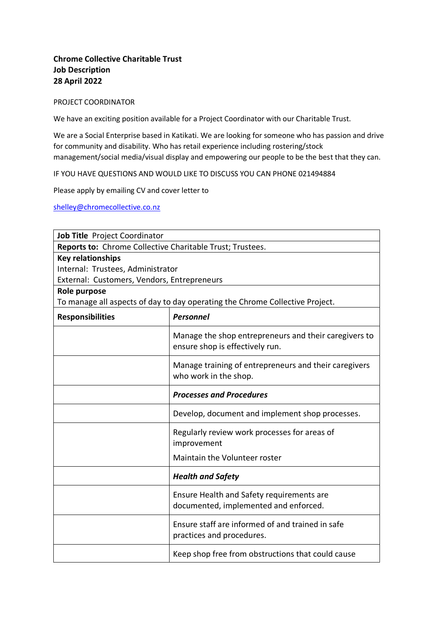## **Chrome Collective Charitable Trust Job Description 28 April 2022**

## PROJECT COORDINATOR

We have an exciting position available for a Project Coordinator with our Charitable Trust.

We are a Social Enterprise based in Katikati. We are looking for someone who has passion and drive for community and disability. Who has retail experience including rostering/stock management/social media/visual display and empowering our people to be the best that they can.

IF YOU HAVE QUESTIONS AND WOULD LIKE TO DISCUSS YOU CAN PHONE 021494884

Please apply by emailing CV and cover letter to

[shelley@chromecollective.co.nz](mailto:shelley@chromecollective.co.nz)

| Job Title Project Coordinator                                                |                                                                                          |  |
|------------------------------------------------------------------------------|------------------------------------------------------------------------------------------|--|
| Reports to: Chrome Collective Charitable Trust; Trustees.                    |                                                                                          |  |
| <b>Key relationships</b>                                                     |                                                                                          |  |
| Internal: Trustees, Administrator                                            |                                                                                          |  |
| External: Customers, Vendors, Entrepreneurs                                  |                                                                                          |  |
| Role purpose                                                                 |                                                                                          |  |
| To manage all aspects of day to day operating the Chrome Collective Project. |                                                                                          |  |
| <b>Responsibilities</b>                                                      | <b>Personnel</b>                                                                         |  |
|                                                                              | Manage the shop entrepreneurs and their caregivers to<br>ensure shop is effectively run. |  |
|                                                                              | Manage training of entrepreneurs and their caregivers<br>who work in the shop.           |  |
|                                                                              | <b>Processes and Procedures</b>                                                          |  |
|                                                                              | Develop, document and implement shop processes.                                          |  |
|                                                                              | Regularly review work processes for areas of<br>improvement                              |  |
|                                                                              | Maintain the Volunteer roster                                                            |  |
|                                                                              | <b>Health and Safety</b>                                                                 |  |
|                                                                              | Ensure Health and Safety requirements are<br>documented, implemented and enforced.       |  |
|                                                                              | Ensure staff are informed of and trained in safe<br>practices and procedures.            |  |
|                                                                              | Keep shop free from obstructions that could cause                                        |  |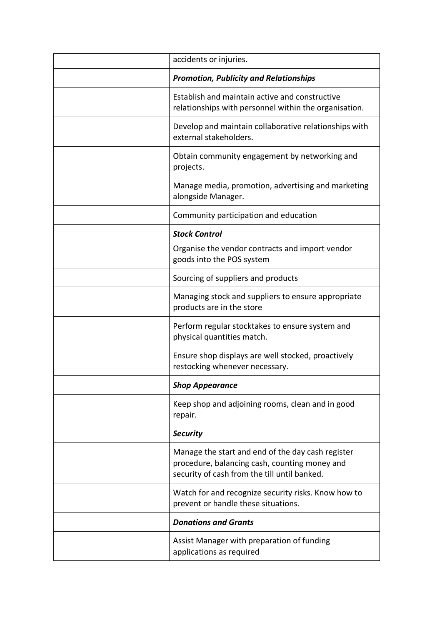| accidents or injuries.                                                                                                                             |
|----------------------------------------------------------------------------------------------------------------------------------------------------|
| <b>Promotion, Publicity and Relationships</b>                                                                                                      |
| Establish and maintain active and constructive<br>relationships with personnel within the organisation.                                            |
| Develop and maintain collaborative relationships with<br>external stakeholders.                                                                    |
| Obtain community engagement by networking and<br>projects.                                                                                         |
| Manage media, promotion, advertising and marketing<br>alongside Manager.                                                                           |
| Community participation and education                                                                                                              |
| <b>Stock Control</b>                                                                                                                               |
| Organise the vendor contracts and import vendor<br>goods into the POS system                                                                       |
| Sourcing of suppliers and products                                                                                                                 |
| Managing stock and suppliers to ensure appropriate<br>products are in the store                                                                    |
| Perform regular stocktakes to ensure system and<br>physical quantities match.                                                                      |
| Ensure shop displays are well stocked, proactively<br>restocking whenever necessary.                                                               |
| <b>Shop Appearance</b>                                                                                                                             |
| Keep shop and adjoining rooms, clean and in good<br>repair.                                                                                        |
| <b>Security</b>                                                                                                                                    |
| Manage the start and end of the day cash register<br>procedure, balancing cash, counting money and<br>security of cash from the till until banked. |
| Watch for and recognize security risks. Know how to<br>prevent or handle these situations.                                                         |
| <b>Donations and Grants</b>                                                                                                                        |
| Assist Manager with preparation of funding<br>applications as required                                                                             |